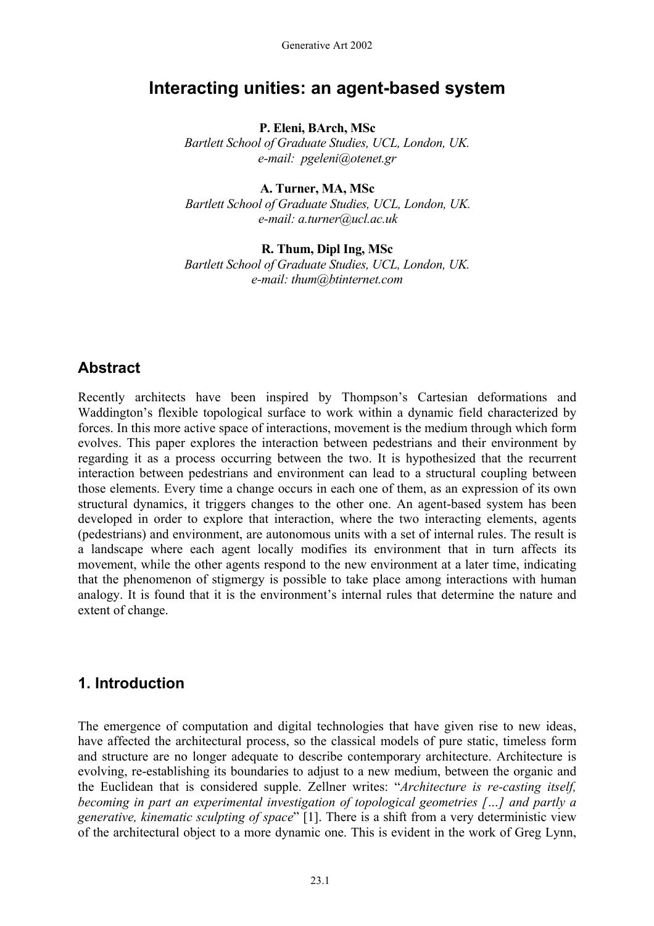# **Interacting unities: an agent-based system**

#### **P. Eleni, BArch, MSc**

*Bartlett School of Graduate Studies, UCL, London, UK. e-mail: pgeleni@otenet.gr* 

### **A. Turner, MA, MSc**

*Bartlett School of Graduate Studies, UCL, London, UK. e-mail: a.turner@ucl.ac.uk* 

#### **R. Thum, Dipl Ing, MSc**  *Bartlett School of Graduate Studies, UCL, London, UK. e-mail: thum@btinternet.com*

### **Abstract**

Recently architects have been inspired by Thompson's Cartesian deformations and Waddington's flexible topological surface to work within a dynamic field characterized by forces. In this more active space of interactions, movement is the medium through which form evolves. This paper explores the interaction between pedestrians and their environment by regarding it as a process occurring between the two. It is hypothesized that the recurrent interaction between pedestrians and environment can lead to a structural coupling between those elements. Every time a change occurs in each one of them, as an expression of its own structural dynamics, it triggers changes to the other one. An agent-based system has been developed in order to explore that interaction, where the two interacting elements, agents (pedestrians) and environment, are autonomous units with a set of internal rules. The result is a landscape where each agent locally modifies its environment that in turn affects its movement, while the other agents respond to the new environment at a later time, indicating that the phenomenon of stigmergy is possible to take place among interactions with human analogy. It is found that it is the environment's internal rules that determine the nature and extent of change.

### **1. Introduction**

The emergence of computation and digital technologies that have given rise to new ideas, have affected the architectural process, so the classical models of pure static, timeless form and structure are no longer adequate to describe contemporary architecture. Architecture is evolving, re-establishing its boundaries to adjust to a new medium, between the organic and the Euclidean that is considered supple. Zellner writes: "*Architecture is re-casting itself, becoming in part an experimental investigation of topological geometries […] and partly a generative, kinematic sculpting of space*" [1]. There is a shift from a very deterministic view of the architectural object to a more dynamic one. This is evident in the work of Greg Lynn,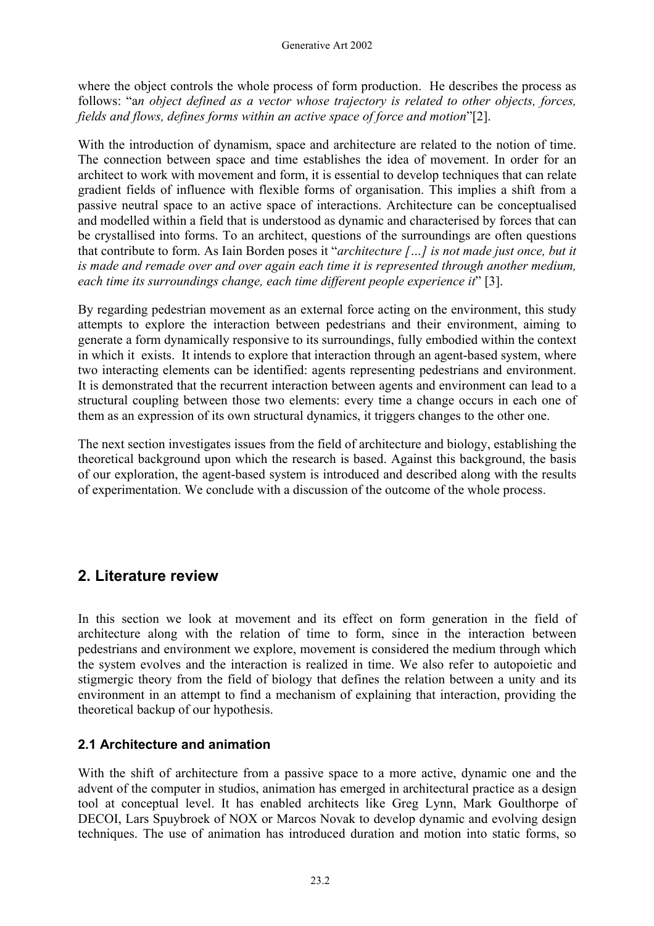where the object controls the whole process of form production. He describes the process as follows: "a*n object defined as a vector whose trajectory is related to other objects, forces, fields and flows, defines forms within an active space of force and motion*"[2].

With the introduction of dynamism, space and architecture are related to the notion of time. The connection between space and time establishes the idea of movement. In order for an architect to work with movement and form, it is essential to develop techniques that can relate gradient fields of influence with flexible forms of organisation. This implies a shift from a passive neutral space to an active space of interactions. Architecture can be conceptualised and modelled within a field that is understood as dynamic and characterised by forces that can be crystallised into forms. To an architect, questions of the surroundings are often questions that contribute to form. As Iain Borden poses it "*architecture […] is not made just once, but it is made and remade over and over again each time it is represented through another medium, each time its surroundings change, each time different people experience it*" [3].

By regarding pedestrian movement as an external force acting on the environment, this study attempts to explore the interaction between pedestrians and their environment, aiming to generate a form dynamically responsive to its surroundings, fully embodied within the context in which it exists. It intends to explore that interaction through an agent-based system, where two interacting elements can be identified: agents representing pedestrians and environment. It is demonstrated that the recurrent interaction between agents and environment can lead to a structural coupling between those two elements: every time a change occurs in each one of them as an expression of its own structural dynamics, it triggers changes to the other one.

The next section investigates issues from the field of architecture and biology, establishing the theoretical background upon which the research is based. Against this background, the basis of our exploration, the agent-based system is introduced and described along with the results of experimentation. We conclude with a discussion of the outcome of the whole process.

# **2. Literature review**

In this section we look at movement and its effect on form generation in the field of architecture along with the relation of time to form, since in the interaction between pedestrians and environment we explore, movement is considered the medium through which the system evolves and the interaction is realized in time. We also refer to autopoietic and stigmergic theory from the field of biology that defines the relation between a unity and its environment in an attempt to find a mechanism of explaining that interaction, providing the theoretical backup of our hypothesis.

### **2.1 Architecture and animation**

With the shift of architecture from a passive space to a more active, dynamic one and the advent of the computer in studios, animation has emerged in architectural practice as a design tool at conceptual level. It has enabled architects like Greg Lynn, Mark Goulthorpe of DECOI, Lars Spuybroek of NOX or Marcos Novak to develop dynamic and evolving design techniques. The use of animation has introduced duration and motion into static forms, so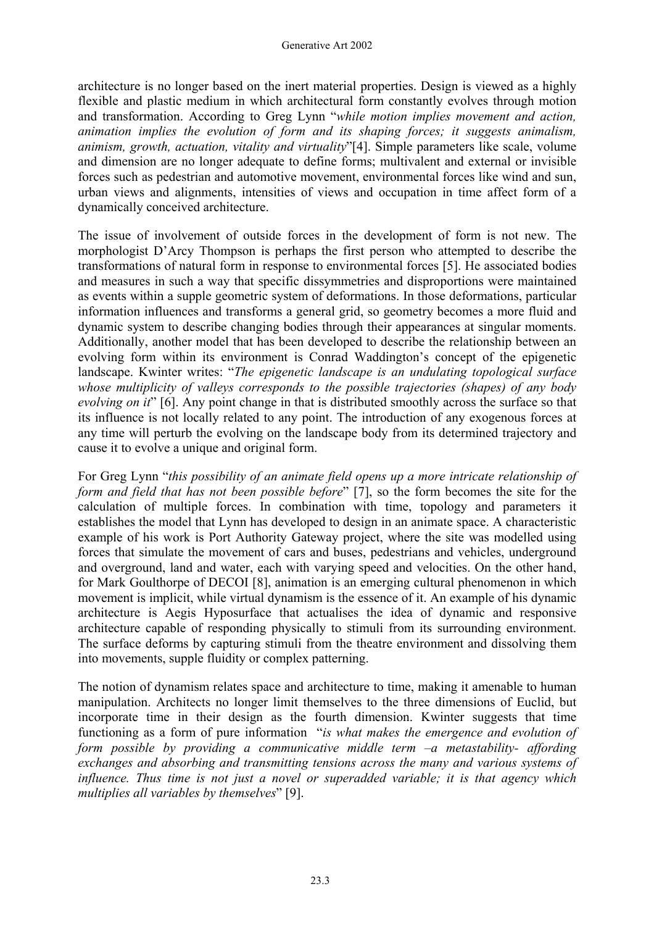architecture is no longer based on the inert material properties. Design is viewed as a highly flexible and plastic medium in which architectural form constantly evolves through motion and transformation. According to Greg Lynn "*while motion implies movement and action, animation implies the evolution of form and its shaping forces; it suggests animalism, animism, growth, actuation, vitality and virtuality*"[4]. Simple parameters like scale, volume and dimension are no longer adequate to define forms; multivalent and external or invisible forces such as pedestrian and automotive movement, environmental forces like wind and sun, urban views and alignments, intensities of views and occupation in time affect form of a dynamically conceived architecture.

The issue of involvement of outside forces in the development of form is not new. The morphologist D'Arcy Thompson is perhaps the first person who attempted to describe the transformations of natural form in response to environmental forces [5]. He associated bodies and measures in such a way that specific dissymmetries and disproportions were maintained as events within a supple geometric system of deformations. In those deformations, particular information influences and transforms a general grid, so geometry becomes a more fluid and dynamic system to describe changing bodies through their appearances at singular moments. Additionally, another model that has been developed to describe the relationship between an evolving form within its environment is Conrad Waddington's concept of the epigenetic landscape. Kwinter writes: "*The epigenetic landscape is an undulating topological surface whose multiplicity of valleys corresponds to the possible trajectories (shapes) of any body evolving on it*" [6]. Any point change in that is distributed smoothly across the surface so that its influence is not locally related to any point. The introduction of any exogenous forces at any time will perturb the evolving on the landscape body from its determined trajectory and cause it to evolve a unique and original form.

For Greg Lynn "*this possibility of an animate field opens up a more intricate relationship of form and field that has not been possible before*" [7], so the form becomes the site for the calculation of multiple forces. In combination with time, topology and parameters it establishes the model that Lynn has developed to design in an animate space. A characteristic example of his work is Port Authority Gateway project, where the site was modelled using forces that simulate the movement of cars and buses, pedestrians and vehicles, underground and overground, land and water, each with varying speed and velocities. On the other hand, for Mark Goulthorpe of DECOI [8], animation is an emerging cultural phenomenon in which movement is implicit, while virtual dynamism is the essence of it. An example of his dynamic architecture is Aegis Hyposurface that actualises the idea of dynamic and responsive architecture capable of responding physically to stimuli from its surrounding environment. The surface deforms by capturing stimuli from the theatre environment and dissolving them into movements, supple fluidity or complex patterning.

The notion of dynamism relates space and architecture to time, making it amenable to human manipulation. Architects no longer limit themselves to the three dimensions of Euclid, but incorporate time in their design as the fourth dimension. Kwinter suggests that time functioning as a form of pure information "*is what makes the emergence and evolution of form possible by providing a communicative middle term –a metastability- affording exchanges and absorbing and transmitting tensions across the many and various systems of influence. Thus time is not just a novel or superadded variable; it is that agency which multiplies all variables by themselves*" [9].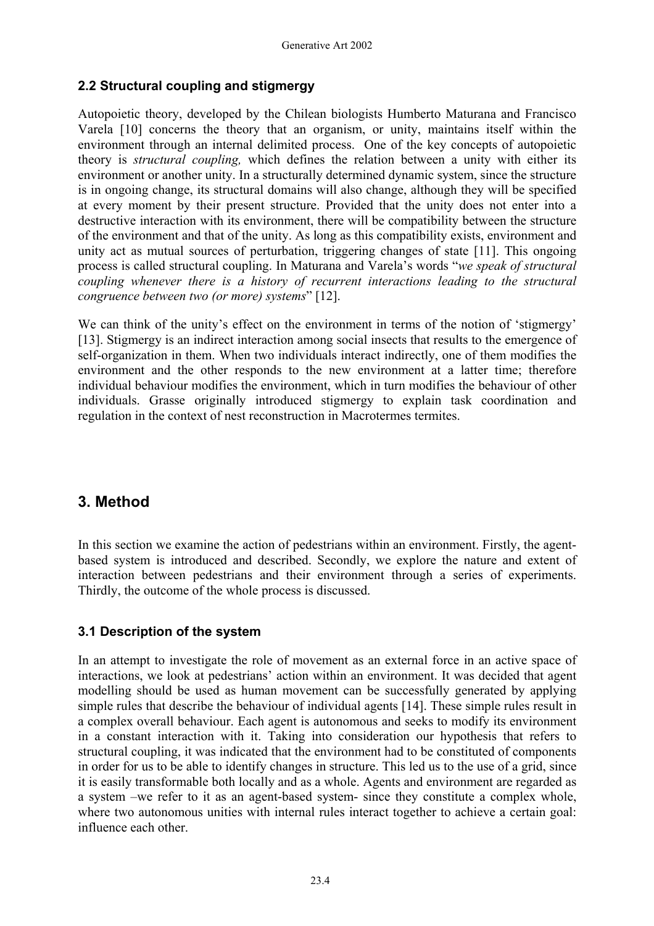#### **2.2 Structural coupling and stigmergy**

Autopoietic theory, developed by the Chilean biologists Humberto Maturana and Francisco Varela [10] concerns the theory that an organism, or unity, maintains itself within the environment through an internal delimited process. One of the key concepts of autopoietic theory is *structural coupling,* which defines the relation between a unity with either its environment or another unity. In a structurally determined dynamic system, since the structure is in ongoing change, its structural domains will also change, although they will be specified at every moment by their present structure. Provided that the unity does not enter into a destructive interaction with its environment, there will be compatibility between the structure of the environment and that of the unity. As long as this compatibility exists, environment and unity act as mutual sources of perturbation, triggering changes of state [11]. This ongoing process is called structural coupling. In Maturana and Varela's words "*we speak of structural coupling whenever there is a history of recurrent interactions leading to the structural congruence between two (or more) systems*" [12].

We can think of the unity's effect on the environment in terms of the notion of 'stigmergy' [13]. Stigmergy is an indirect interaction among social insects that results to the emergence of self-organization in them. When two individuals interact indirectly, one of them modifies the environment and the other responds to the new environment at a latter time; therefore individual behaviour modifies the environment, which in turn modifies the behaviour of other individuals. Grasse originally introduced stigmergy to explain task coordination and regulation in the context of nest reconstruction in Macrotermes termites.

### **3. Method**

In this section we examine the action of pedestrians within an environment. Firstly, the agentbased system is introduced and described. Secondly, we explore the nature and extent of interaction between pedestrians and their environment through a series of experiments. Thirdly, the outcome of the whole process is discussed.

### **3.1 Description of the system**

In an attempt to investigate the role of movement as an external force in an active space of interactions, we look at pedestrians' action within an environment. It was decided that agent modelling should be used as human movement can be successfully generated by applying simple rules that describe the behaviour of individual agents [14]. These simple rules result in a complex overall behaviour. Each agent is autonomous and seeks to modify its environment in a constant interaction with it. Taking into consideration our hypothesis that refers to structural coupling, it was indicated that the environment had to be constituted of components in order for us to be able to identify changes in structure. This led us to the use of a grid, since it is easily transformable both locally and as a whole. Agents and environment are regarded as a system –we refer to it as an agent-based system- since they constitute a complex whole, where two autonomous unities with internal rules interact together to achieve a certain goal: influence each other.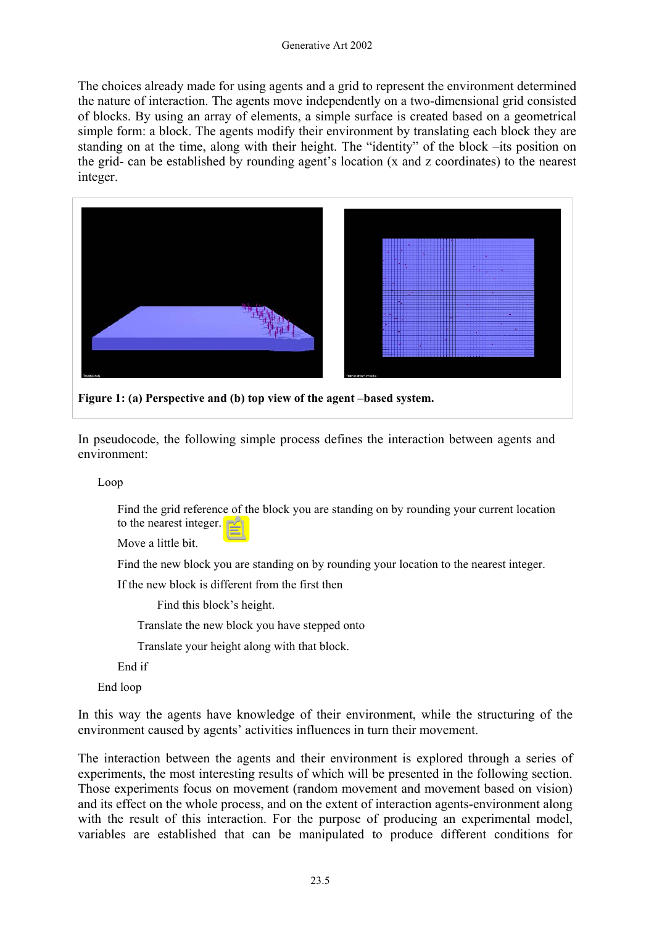The choices already made for using agents and a grid to represent the environment determined the nature of interaction. The agents move independently on a two-dimensional grid consisted of blocks. By using an array of elements, a simple surface is created based on a geometrical simple form: a block. The agents modify their environment by translating each block they are standing on at the time, along with their height. The "identity" of the block –its position on the grid- can be established by rounding agent's location (x and z coordinates) to the nearest integer.



**Figure 1: (a) Perspective and (b) top view of the agent –based system.** 

In pseudocode, the following simple process defines the interaction between agents and environment:

Loop

Find the grid reference of the block you are standing on by rounding your current location to the nearest integer.

Move a little bit.

Find the new block you are standing on by rounding your location to the nearest integer.

If the new block is different from the first then

Find this block's height.

Translate the new block you have stepped onto

Translate your height along with that block.

End if

End loop

In this way the agents have knowledge of their environment, while the structuring of the environment caused by agents' activities influences in turn their movement.

The interaction between the agents and their environment is explored through a series of experiments, the most interesting results of which will be presented in the following section. Those experiments focus on movement (random movement and movement based on vision) and its effect on the whole process, and on the extent of interaction agents-environment along with the result of this interaction. For the purpose of producing an experimental model, variables are established that can be manipulated to produce different conditions for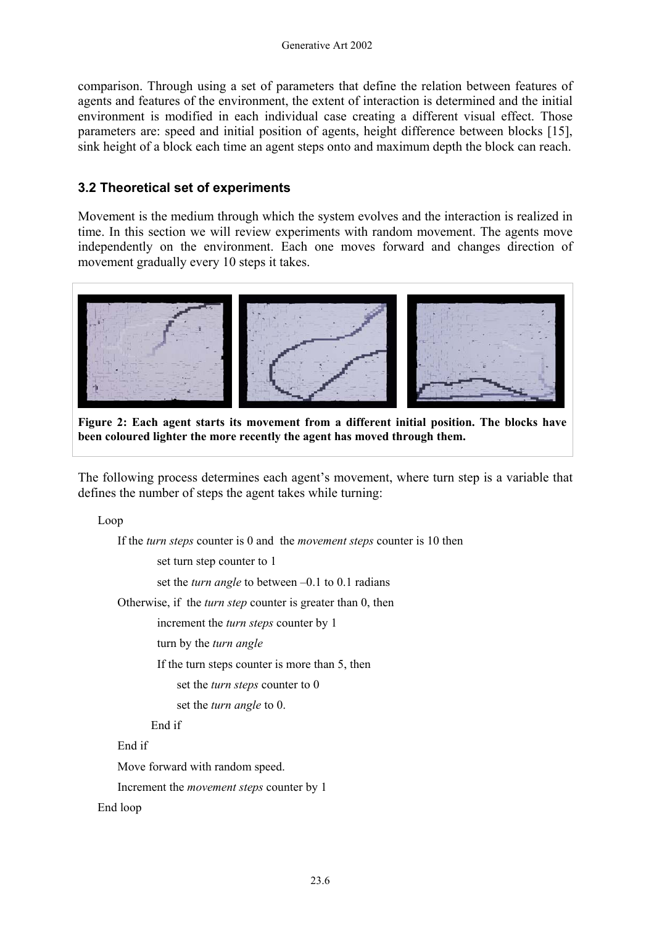comparison. Through using a set of parameters that define the relation between features of agents and features of the environment, the extent of interaction is determined and the initial environment is modified in each individual case creating a different visual effect. Those parameters are: speed and initial position of agents, height difference between blocks [15], sink height of a block each time an agent steps onto and maximum depth the block can reach.

#### **3.2 Theoretical set of experiments**

Movement is the medium through which the system evolves and the interaction is realized in time. In this section we will review experiments with random movement. The agents move independently on the environment. Each one moves forward and changes direction of movement gradually every 10 steps it takes.



**Figure 2: Each agent starts its movement from a different initial position. The blocks have been coloured lighter the more recently the agent has moved through them.**

The following process determines each agent's movement, where turn step is a variable that defines the number of steps the agent takes while turning:

Loop

If the *turn steps* counter is 0 and the *movement steps* counter is 10 then

set turn step counter to 1

set the *turn angle* to between –0.1 to 0.1 radians

Otherwise, if the *turn step* counter is greater than 0, then

increment the *turn steps* counter by 1

turn by the *turn angle*

If the turn steps counter is more than 5, then

set the *turn steps* counter to 0

set the *turn angle* to 0.

End if

End if

Move forward with random speed.

Increment the *movement steps* counter by 1

End loop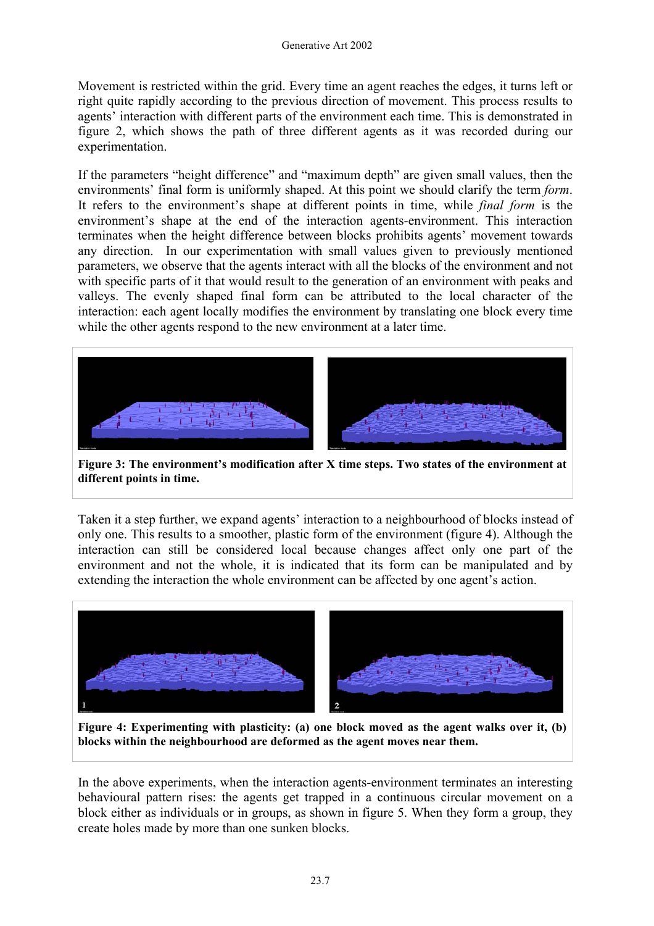Movement is restricted within the grid. Every time an agent reaches the edges, it turns left or right quite rapidly according to the previous direction of movement. This process results to agents' interaction with different parts of the environment each time. This is demonstrated in figure 2, which shows the path of three different agents as it was recorded during our experimentation.

If the parameters "height difference" and "maximum depth" are given small values, then the environments' final form is uniformly shaped. At this point we should clarify the term *form*. It refers to the environment's shape at different points in time, while *final form* is the environment's shape at the end of the interaction agents-environment. This interaction terminates when the height difference between blocks prohibits agents' movement towards any direction. In our experimentation with small values given to previously mentioned parameters, we observe that the agents interact with all the blocks of the environment and not with specific parts of it that would result to the generation of an environment with peaks and valleys. The evenly shaped final form can be attributed to the local character of the interaction: each agent locally modifies the environment by translating one block every time while the other agents respond to the new environment at a later time.



**Figure 3: The environment's modification after X time steps. Two states of the environment at different points in time.**

Taken it a step further, we expand agents' interaction to a neighbourhood of blocks instead of only one. This results to a smoother, plastic form of the environment (figure 4). Although the interaction can still be considered local because changes affect only one part of the environment and not the whole, it is indicated that its form can be manipulated and by extending the interaction the whole environment can be affected by one agent's action.



**Figure 4: Experimenting with plasticity: (a) one block moved as the agent walks over it, (b) blocks within the neighbourhood are deformed as the agent moves near them.**

In the above experiments, when the interaction agents-environment terminates an interesting behavioural pattern rises: the agents get trapped in a continuous circular movement on a block either as individuals or in groups, as shown in figure 5. When they form a group, they create holes made by more than one sunken blocks.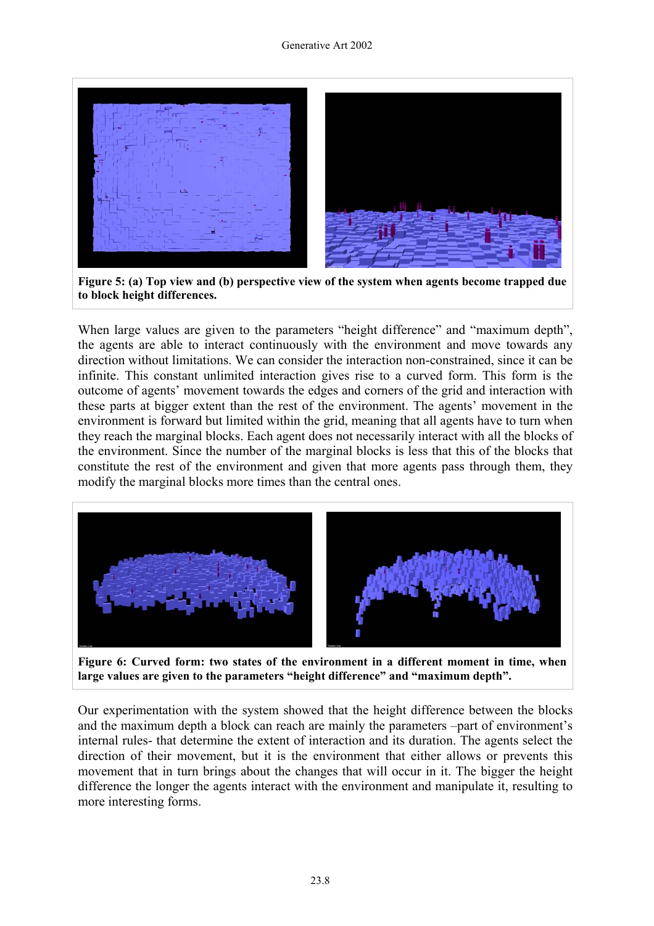

**Figure 5: (a) Top view and (b) perspective view of the system when agents become trapped due to block height differences.** 

When large values are given to the parameters "height difference" and "maximum depth", the agents are able to interact continuously with the environment and move towards any direction without limitations. We can consider the interaction non-constrained, since it can be infinite. This constant unlimited interaction gives rise to a curved form. This form is the outcome of agents' movement towards the edges and corners of the grid and interaction with these parts at bigger extent than the rest of the environment. The agents' movement in the environment is forward but limited within the grid, meaning that all agents have to turn when they reach the marginal blocks. Each agent does not necessarily interact with all the blocks of the environment. Since the number of the marginal blocks is less that this of the blocks that constitute the rest of the environment and given that more agents pass through them, they modify the marginal blocks more times than the central ones.



**Figure 6: Curved form: two states of the environment in a different moment in time, when large values are given to the parameters "height difference" and "maximum depth".** 

Our experimentation with the system showed that the height difference between the blocks and the maximum depth a block can reach are mainly the parameters –part of environment's internal rules- that determine the extent of interaction and its duration. The agents select the direction of their movement, but it is the environment that either allows or prevents this movement that in turn brings about the changes that will occur in it. The bigger the height difference the longer the agents interact with the environment and manipulate it, resulting to more interesting forms.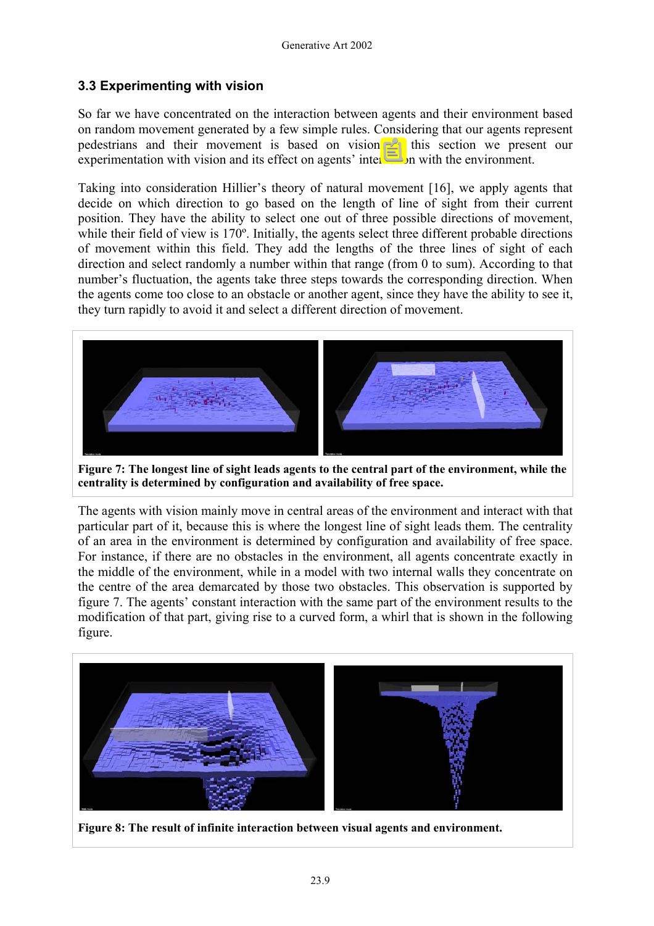### **3.3 Experimenting with vision**

So far we have concentrated on the interaction between agents and their environment based on random movement generated by a few simple rules. Considering that our agents represent pedestrians and their movement is based on vision, in this section we present our experimentation with vision and its effect on agents' interaction with the environment.

Taking into consideration Hillier's theory of natural movement [16], we apply agents that decide on which direction to go based on the length of line of sight from their current position. They have the ability to select one out of three possible directions of movement, while their field of view is 170<sup>°</sup>. Initially, the agents select three different probable directions of movement within this field. They add the lengths of the three lines of sight of each direction and select randomly a number within that range (from 0 to sum). According to that number's fluctuation, the agents take three steps towards the corresponding direction. When the agents come too close to an obstacle or another agent, since they have the ability to see it, they turn rapidly to avoid it and select a different direction of movement.



**Figure 7: The longest line of sight leads agents to the central part of the environment, while the centrality is determined by configuration and availability of free space.** 

The agents with vision mainly move in central areas of the environment and interact with that particular part of it, because this is where the longest line of sight leads them. The centrality of an area in the environment is determined by configuration and availability of free space. For instance, if there are no obstacles in the environment, all agents concentrate exactly in the middle of the environment, while in a model with two internal walls they concentrate on the centre of the area demarcated by those two obstacles. This observation is supported by figure 7. The agents' constant interaction with the same part of the environment results to the modification of that part, giving rise to a curved form, a whirl that is shown in the following figure.



**Figure 8: The result of infinite interaction between visual agents and environment.**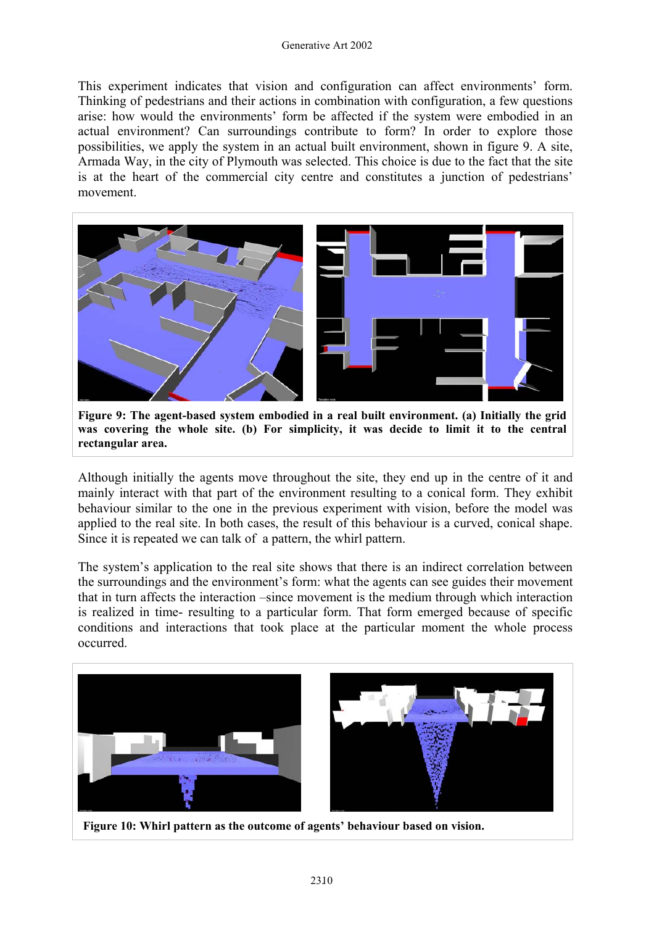#### Generative Art 2002

This experiment indicates that vision and configuration can affect environments' form. Thinking of pedestrians and their actions in combination with configuration, a few questions arise: how would the environments' form be affected if the system were embodied in an actual environment? Can surroundings contribute to form? In order to explore those possibilities, we apply the system in an actual built environment, shown in figure 9. A site, Armada Way, in the city of Plymouth was selected. This choice is due to the fact that the site is at the heart of the commercial city centre and constitutes a junction of pedestrians' movement.



**Figure 9: The agent-based system embodied in a real built environment. (a) Initially the grid was covering the whole site. (b) For simplicity, it was decide to limit it to the central rectangular area.** 

Although initially the agents move throughout the site, they end up in the centre of it and mainly interact with that part of the environment resulting to a conical form. They exhibit behaviour similar to the one in the previous experiment with vision, before the model was applied to the real site. In both cases, the result of this behaviour is a curved, conical shape. Since it is repeated we can talk of a pattern, the whirl pattern.

The system's application to the real site shows that there is an indirect correlation between the surroundings and the environment's form: what the agents can see guides their movement that in turn affects the interaction –since movement is the medium through which interaction is realized in time- resulting to a particular form. That form emerged because of specific conditions and interactions that took place at the particular moment the whole process occurred.



 **Figure 10: Whirl pattern as the outcome of agents' behaviour based on vision.**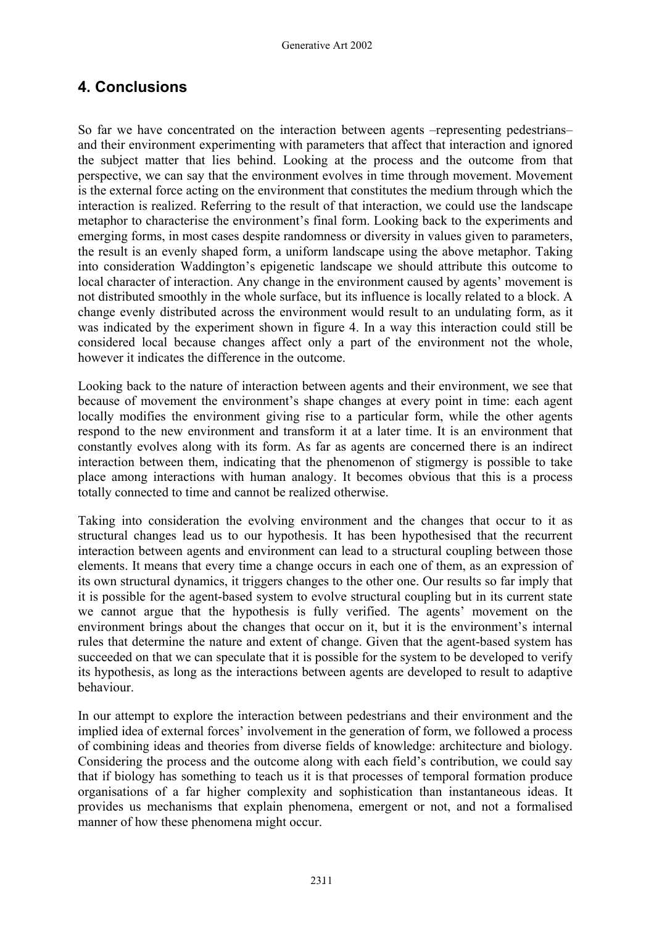### **4. Conclusions**

So far we have concentrated on the interaction between agents –representing pedestrians– and their environment experimenting with parameters that affect that interaction and ignored the subject matter that lies behind. Looking at the process and the outcome from that perspective, we can say that the environment evolves in time through movement. Movement is the external force acting on the environment that constitutes the medium through which the interaction is realized. Referring to the result of that interaction, we could use the landscape metaphor to characterise the environment's final form. Looking back to the experiments and emerging forms, in most cases despite randomness or diversity in values given to parameters, the result is an evenly shaped form, a uniform landscape using the above metaphor. Taking into consideration Waddington's epigenetic landscape we should attribute this outcome to local character of interaction. Any change in the environment caused by agents' movement is not distributed smoothly in the whole surface, but its influence is locally related to a block. A change evenly distributed across the environment would result to an undulating form, as it was indicated by the experiment shown in figure 4. In a way this interaction could still be considered local because changes affect only a part of the environment not the whole, however it indicates the difference in the outcome.

Looking back to the nature of interaction between agents and their environment, we see that because of movement the environment's shape changes at every point in time: each agent locally modifies the environment giving rise to a particular form, while the other agents respond to the new environment and transform it at a later time. It is an environment that constantly evolves along with its form. As far as agents are concerned there is an indirect interaction between them, indicating that the phenomenon of stigmergy is possible to take place among interactions with human analogy. It becomes obvious that this is a process totally connected to time and cannot be realized otherwise.

Taking into consideration the evolving environment and the changes that occur to it as structural changes lead us to our hypothesis. It has been hypothesised that the recurrent interaction between agents and environment can lead to a structural coupling between those elements. It means that every time a change occurs in each one of them, as an expression of its own structural dynamics, it triggers changes to the other one. Our results so far imply that it is possible for the agent-based system to evolve structural coupling but in its current state we cannot argue that the hypothesis is fully verified. The agents' movement on the environment brings about the changes that occur on it, but it is the environment's internal rules that determine the nature and extent of change. Given that the agent-based system has succeeded on that we can speculate that it is possible for the system to be developed to verify its hypothesis, as long as the interactions between agents are developed to result to adaptive behaviour.

In our attempt to explore the interaction between pedestrians and their environment and the implied idea of external forces' involvement in the generation of form, we followed a process of combining ideas and theories from diverse fields of knowledge: architecture and biology. Considering the process and the outcome along with each field's contribution, we could say that if biology has something to teach us it is that processes of temporal formation produce organisations of a far higher complexity and sophistication than instantaneous ideas. It provides us mechanisms that explain phenomena, emergent or not, and not a formalised manner of how these phenomena might occur.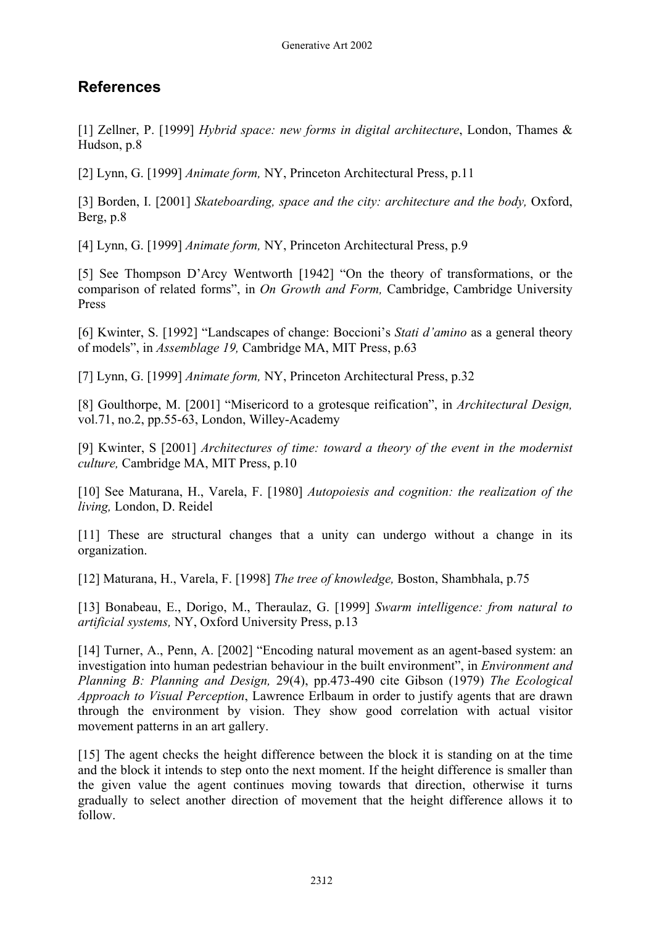# **References**

[1] Zellner, P. [1999] *Hybrid space: new forms in digital architecture*, London, Thames & Hudson, p.8

[2] Lynn, G. [1999] *Animate form,* NY, Princeton Architectural Press, p.11

[3] Borden, I. [2001] *Skateboarding, space and the city: architecture and the body, Oxford,* Berg, p.8

[4] Lynn, G. [1999] *Animate form,* NY, Princeton Architectural Press, p.9

[5] See Thompson D'Arcy Wentworth [1942] "On the theory of transformations, or the comparison of related forms", in *On Growth and Form,* Cambridge, Cambridge University Press

[6] Kwinter, S. [1992] "Landscapes of change: Boccioni's *Stati d'amino* as a general theory of models", in *Assemblage 19,* Cambridge MA, MIT Press, p.63

[7] Lynn, G. [1999] *Animate form,* NY, Princeton Architectural Press, p.32

[8] Goulthorpe, M. [2001] "Misericord to a grotesque reification", in *Architectural Design,*  vol.71, no.2, pp.55-63, London, Willey-Academy

[9] Kwinter, S [2001] *Architectures of time: toward a theory of the event in the modernist culture,* Cambridge MA, MIT Press, p.10

[10] See Maturana, H., Varela, F. [1980] *Autopoiesis and cognition: the realization of the living,* London, D. Reidel

[11] These are structural changes that a unity can undergo without a change in its organization.

[12] Maturana, H., Varela, F. [1998] *The tree of knowledge,* Boston, Shambhala, p.75

[13] Bonabeau, E., Dorigo, M., Theraulaz, G. [1999] *Swarm intelligence: from natural to artificial systems,* NY, Oxford University Press, p.13

[14] Turner, A., Penn, A. [2002] "Encoding natural movement as an agent-based system: an investigation into human pedestrian behaviour in the built environment", in *Environment and Planning B: Planning and Design,* 29(4), pp.473-490 cite Gibson (1979) *The Ecological Approach to Visual Perception*, Lawrence Erlbaum in order to justify agents that are drawn through the environment by vision. They show good correlation with actual visitor movement patterns in an art gallery.

[15] The agent checks the height difference between the block it is standing on at the time and the block it intends to step onto the next moment. If the height difference is smaller than the given value the agent continues moving towards that direction, otherwise it turns gradually to select another direction of movement that the height difference allows it to follow.